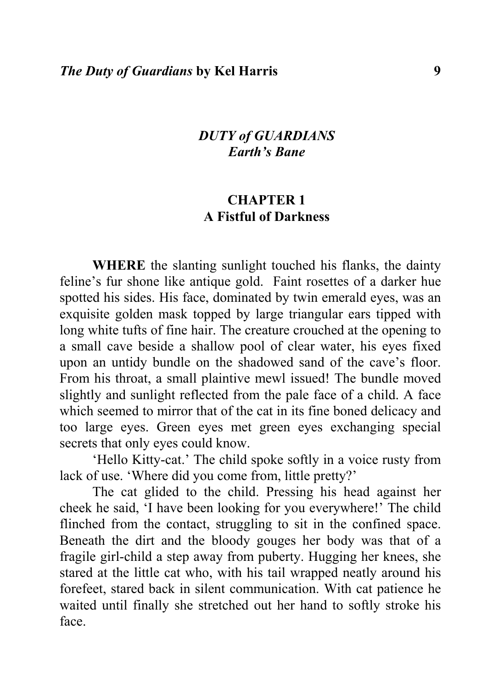### *DUTY of GUARDIANS Earth's Bane*

## **CHAPTER 1 A Fistful of Darkness**

**WHERE** the slanting sunlight touched his flanks, the dainty feline's fur shone like antique gold. Faint rosettes of a darker hue spotted his sides. His face, dominated by twin emerald eyes, was an exquisite golden mask topped by large triangular ears tipped with long white tufts of fine hair. The creature crouched at the opening to a small cave beside a shallow pool of clear water, his eyes fixed upon an untidy bundle on the shadowed sand of the cave's floor. From his throat, a small plaintive mewl issued! The bundle moved slightly and sunlight reflected from the pale face of a child. A face which seemed to mirror that of the cat in its fine boned delicacy and too large eyes. Green eyes met green eyes exchanging special secrets that only eyes could know.

'Hello Kitty-cat.' The child spoke softly in a voice rusty from lack of use. 'Where did you come from, little pretty?'

The cat glided to the child. Pressing his head against her cheek he said, 'I have been looking for you everywhere!' The child flinched from the contact, struggling to sit in the confined space. Beneath the dirt and the bloody gouges her body was that of a fragile girl-child a step away from puberty. Hugging her knees, she stared at the little cat who, with his tail wrapped neatly around his forefeet, stared back in silent communication. With cat patience he waited until finally she stretched out her hand to softly stroke his face.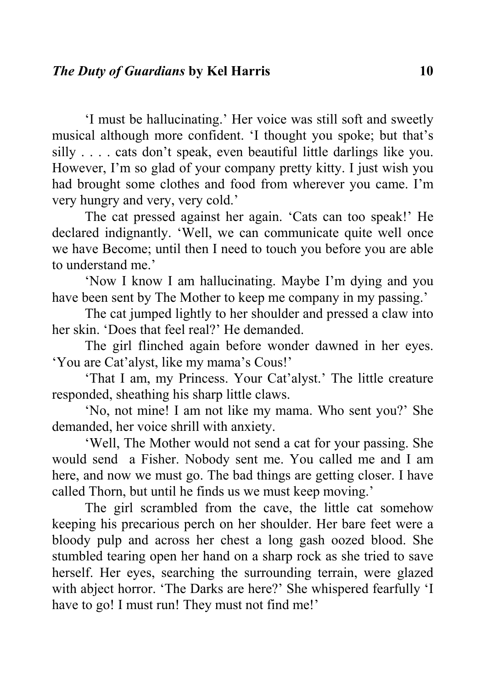'I must be hallucinating.' Her voice was still soft and sweetly musical although more confident. 'I thought you spoke; but that's silly . . . . cats don't speak, even beautiful little darlings like you. However, I'm so glad of your company pretty kitty. I just wish you had brought some clothes and food from wherever you came. I'm very hungry and very, very cold.'

The cat pressed against her again. 'Cats can too speak!' He declared indignantly. 'Well, we can communicate quite well once we have Become; until then I need to touch you before you are able to understand me.'

'Now I know I am hallucinating. Maybe I'm dying and you have been sent by The Mother to keep me company in my passing.'

The cat jumped lightly to her shoulder and pressed a claw into her skin. 'Does that feel real?' He demanded.

The girl flinched again before wonder dawned in her eyes. 'You are Cat'alyst, like my mama's Cous!'

'That I am, my Princess. Your Cat'alyst.' The little creature responded, sheathing his sharp little claws.

'No, not mine! I am not like my mama. Who sent you?' She demanded, her voice shrill with anxiety.

'Well, The Mother would not send a cat for your passing. She would send a Fisher. Nobody sent me. You called me and I am here, and now we must go. The bad things are getting closer. I have called Thorn, but until he finds us we must keep moving.'

The girl scrambled from the cave, the little cat somehow keeping his precarious perch on her shoulder. Her bare feet were a bloody pulp and across her chest a long gash oozed blood. She stumbled tearing open her hand on a sharp rock as she tried to save herself. Her eyes, searching the surrounding terrain, were glazed with abject horror. 'The Darks are here?' She whispered fearfully 'I have to go! I must run! They must not find me!'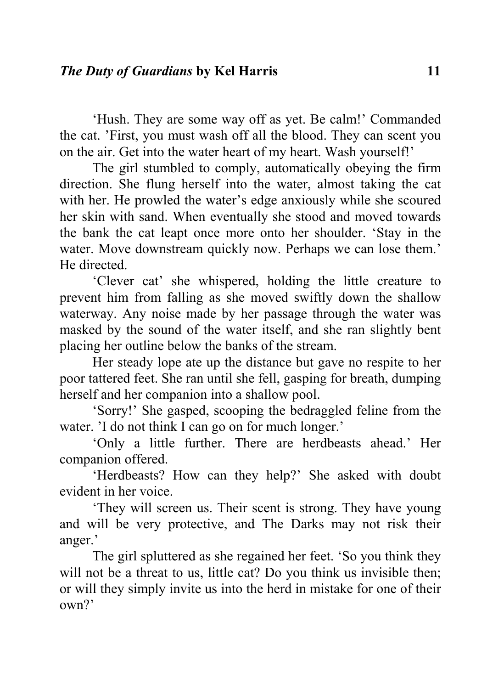'Hush. They are some way off as yet. Be calm!' Commanded the cat. 'First, you must wash off all the blood. They can scent you on the air. Get into the water heart of my heart. Wash yourself!'

The girl stumbled to comply, automatically obeying the firm direction. She flung herself into the water, almost taking the cat with her. He prowled the water's edge anxiously while she scoured her skin with sand. When eventually she stood and moved towards the bank the cat leapt once more onto her shoulder. 'Stay in the water. Move downstream quickly now. Perhaps we can lose them.' He directed.

'Clever cat' she whispered, holding the little creature to prevent him from falling as she moved swiftly down the shallow waterway. Any noise made by her passage through the water was masked by the sound of the water itself, and she ran slightly bent placing her outline below the banks of the stream.

Her steady lope ate up the distance but gave no respite to her poor tattered feet. She ran until she fell, gasping for breath, dumping herself and her companion into a shallow pool.

'Sorry!' She gasped, scooping the bedraggled feline from the water. 'I do not think I can go on for much longer.'

'Only a little further. There are herdbeasts ahead.' Her companion offered.

'Herdbeasts? How can they help?' She asked with doubt evident in her voice.

'They will screen us. Their scent is strong. They have young and will be very protective, and The Darks may not risk their anger.'

The girl spluttered as she regained her feet. 'So you think they will not be a threat to us, little cat? Do you think us invisible then; or will they simply invite us into the herd in mistake for one of their own?'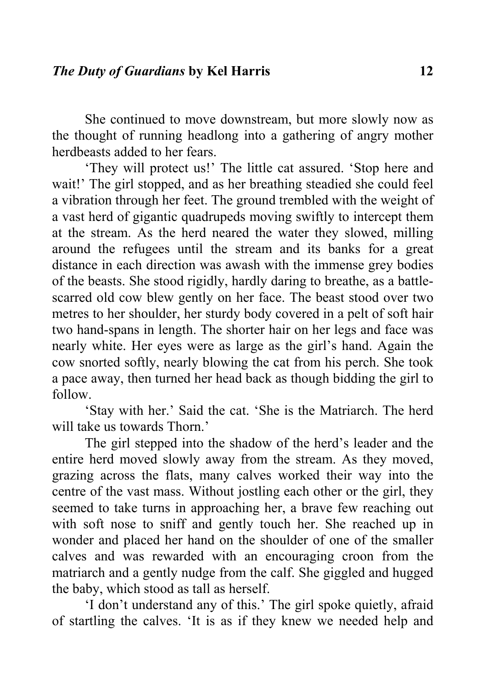She continued to move downstream, but more slowly now as the thought of running headlong into a gathering of angry mother herdbeasts added to her fears.

'They will protect us!' The little cat assured. 'Stop here and wait!' The girl stopped, and as her breathing steadied she could feel a vibration through her feet. The ground trembled with the weight of a vast herd of gigantic quadrupeds moving swiftly to intercept them at the stream. As the herd neared the water they slowed, milling around the refugees until the stream and its banks for a great distance in each direction was awash with the immense grey bodies of the beasts. She stood rigidly, hardly daring to breathe, as a battlescarred old cow blew gently on her face. The beast stood over two metres to her shoulder, her sturdy body covered in a pelt of soft hair two hand-spans in length. The shorter hair on her legs and face was nearly white. Her eyes were as large as the girl's hand. Again the cow snorted softly, nearly blowing the cat from his perch. She took a pace away, then turned her head back as though bidding the girl to follow.

'Stay with her.' Said the cat. 'She is the Matriarch. The herd will take us towards Thorn?

The girl stepped into the shadow of the herd's leader and the entire herd moved slowly away from the stream. As they moved, grazing across the flats, many calves worked their way into the centre of the vast mass. Without jostling each other or the girl, they seemed to take turns in approaching her, a brave few reaching out with soft nose to sniff and gently touch her. She reached up in wonder and placed her hand on the shoulder of one of the smaller calves and was rewarded with an encouraging croon from the matriarch and a gently nudge from the calf. She giggled and hugged the baby, which stood as tall as herself.

'I don't understand any of this.' The girl spoke quietly, afraid of startling the calves. 'It is as if they knew we needed help and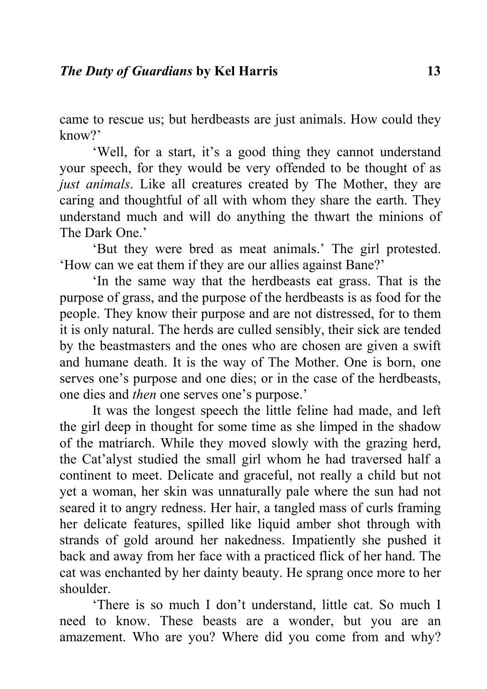came to rescue us; but herdbeasts are just animals. How could they know?'

'Well, for a start, it's a good thing they cannot understand your speech, for they would be very offended to be thought of as *just animals*. Like all creatures created by The Mother, they are caring and thoughtful of all with whom they share the earth. They understand much and will do anything the thwart the minions of The Dark One.'

'But they were bred as meat animals.' The girl protested. 'How can we eat them if they are our allies against Bane?'

'In the same way that the herdbeasts eat grass. That is the purpose of grass, and the purpose of the herdbeasts is as food for the people. They know their purpose and are not distressed, for to them it is only natural. The herds are culled sensibly, their sick are tended by the beastmasters and the ones who are chosen are given a swift and humane death. It is the way of The Mother. One is born, one serves one's purpose and one dies; or in the case of the herdbeasts, one dies and *then* one serves one's purpose.'

It was the longest speech the little feline had made, and left the girl deep in thought for some time as she limped in the shadow of the matriarch. While they moved slowly with the grazing herd, the Cat'alyst studied the small girl whom he had traversed half a continent to meet. Delicate and graceful, not really a child but not yet a woman, her skin was unnaturally pale where the sun had not seared it to angry redness. Her hair, a tangled mass of curls framing her delicate features, spilled like liquid amber shot through with strands of gold around her nakedness. Impatiently she pushed it back and away from her face with a practiced flick of her hand. The cat was enchanted by her dainty beauty. He sprang once more to her shoulder.

'There is so much I don't understand, little cat. So much I need to know. These beasts are a wonder, but you are an amazement. Who are you? Where did you come from and why?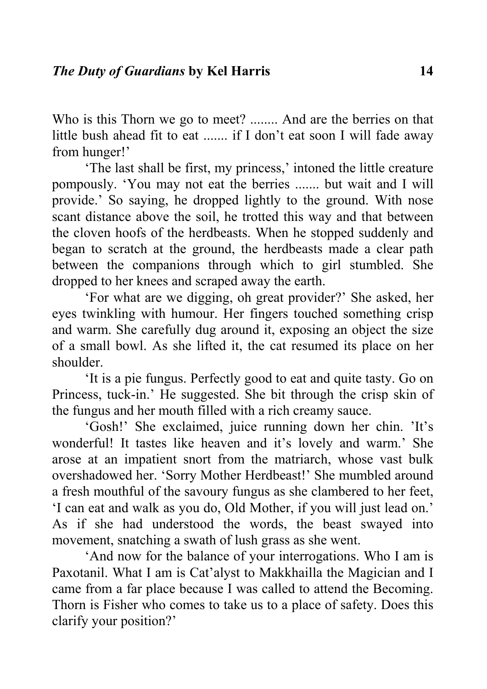Who is this Thorn we go to meet? ........ And are the berries on that little bush ahead fit to eat ....... if I don't eat soon I will fade away from hunger!'

'The last shall be first, my princess,' intoned the little creature pompously. 'You may not eat the berries ....... but wait and I will provide.' So saying, he dropped lightly to the ground. With nose scant distance above the soil, he trotted this way and that between the cloven hoofs of the herdbeasts. When he stopped suddenly and began to scratch at the ground, the herdbeasts made a clear path between the companions through which to girl stumbled. She dropped to her knees and scraped away the earth.

'For what are we digging, oh great provider?' She asked, her eyes twinkling with humour. Her fingers touched something crisp and warm. She carefully dug around it, exposing an object the size of a small bowl. As she lifted it, the cat resumed its place on her shoulder.

'It is a pie fungus. Perfectly good to eat and quite tasty. Go on Princess, tuck-in.' He suggested. She bit through the crisp skin of the fungus and her mouth filled with a rich creamy sauce.

'Gosh!' She exclaimed, juice running down her chin. 'It's wonderful! It tastes like heaven and it's lovely and warm.' She arose at an impatient snort from the matriarch, whose vast bulk overshadowed her. 'Sorry Mother Herdbeast!' She mumbled around a fresh mouthful of the savoury fungus as she clambered to her feet, 'I can eat and walk as you do, Old Mother, if you will just lead on.' As if she had understood the words, the beast swayed into movement, snatching a swath of lush grass as she went.

'And now for the balance of your interrogations. Who I am is Paxotanil. What I am is Cat'alyst to Makkhailla the Magician and I came from a far place because I was called to attend the Becoming. Thorn is Fisher who comes to take us to a place of safety. Does this clarify your position?'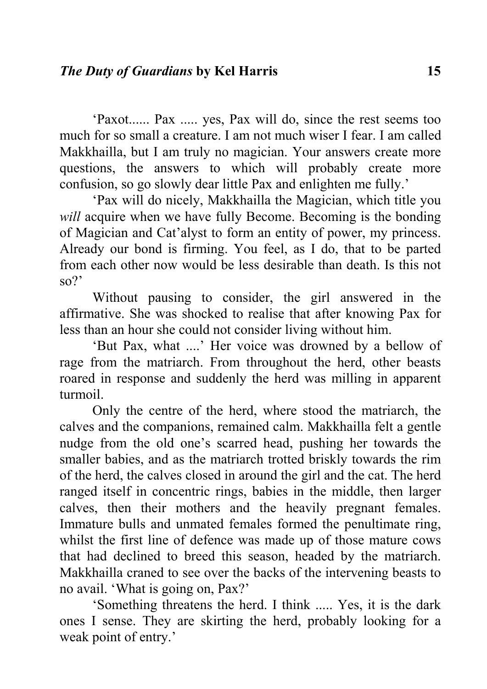'Paxot...... Pax ..... yes, Pax will do, since the rest seems too much for so small a creature. I am not much wiser I fear. I am called Makkhailla, but I am truly no magician. Your answers create more questions, the answers to which will probably create more confusion, so go slowly dear little Pax and enlighten me fully.'

'Pax will do nicely, Makkhailla the Magician, which title you *will* acquire when we have fully Become. Becoming is the bonding of Magician and Cat'alyst to form an entity of power, my princess. Already our bond is firming. You feel, as I do, that to be parted from each other now would be less desirable than death. Is this not so?'

Without pausing to consider, the girl answered in the affirmative. She was shocked to realise that after knowing Pax for less than an hour she could not consider living without him.

'But Pax, what ....' Her voice was drowned by a bellow of rage from the matriarch. From throughout the herd, other beasts roared in response and suddenly the herd was milling in apparent turmoil.

Only the centre of the herd, where stood the matriarch, the calves and the companions, remained calm. Makkhailla felt a gentle nudge from the old one's scarred head, pushing her towards the smaller babies, and as the matriarch trotted briskly towards the rim of the herd, the calves closed in around the girl and the cat. The herd ranged itself in concentric rings, babies in the middle, then larger calves, then their mothers and the heavily pregnant females. Immature bulls and unmated females formed the penultimate ring, whilst the first line of defence was made up of those mature cows that had declined to breed this season, headed by the matriarch. Makkhailla craned to see over the backs of the intervening beasts to no avail. 'What is going on, Pax?'

'Something threatens the herd. I think ..... Yes, it is the dark ones I sense. They are skirting the herd, probably looking for a weak point of entry.'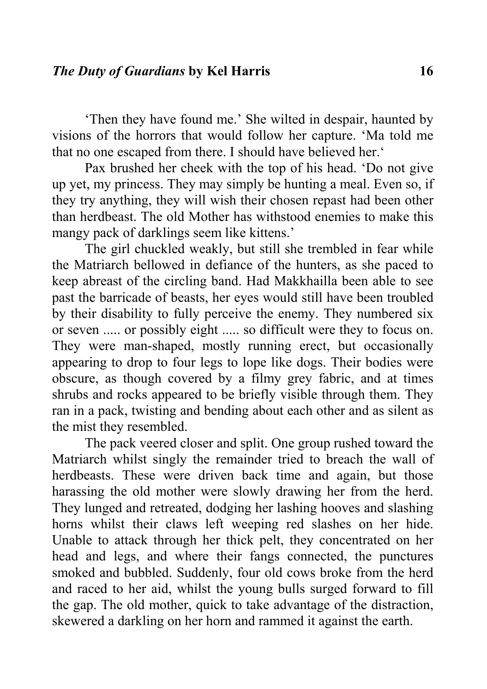'Then they have found me.' She wilted in despair, haunted by visions of the horrors that would follow her capture. 'Ma told me that no one escaped from there. I should have believed her.'

Pax brushed her cheek with the top of his head. 'Do not give up yet, my princess. They may simply be hunting a meal. Even so, if they try anything, they will wish their chosen repast had been other than herdbeast. The old Mother has withstood enemies to make this mangy pack of darklings seem like kittens.'

The girl chuckled weakly, but still she trembled in fear while the Matriarch bellowed in defiance of the hunters, as she paced to keep abreast of the circling band. Had Makkhailla been able to see past the barricade of beasts, her eyes would still have been troubled by their disability to fully perceive the enemy. They numbered six or seven ..... or possibly eight ..... so difficult were they to focus on. They were man-shaped, mostly running erect, but occasionally appearing to drop to four legs to lope like dogs. Their bodies were obscure, as though covered by a filmy grey fabric, and at times shrubs and rocks appeared to be briefly visible through them. They ran in a pack, twisting and bending about each other and as silent as the mist they resembled.

The pack veered closer and split. One group rushed toward the Matriarch whilst singly the remainder tried to breach the wall of herdbeasts. These were driven back time and again, but those harassing the old mother were slowly drawing her from the herd. They lunged and retreated, dodging her lashing hooves and slashing horns whilst their claws left weeping red slashes on her hide. Unable to attack through her thick pelt, they concentrated on her head and legs, and where their fangs connected, the punctures smoked and bubbled. Suddenly, four old cows broke from the herd and raced to her aid, whilst the young bulls surged forward to fill the gap. The old mother, quick to take advantage of the distraction, skewered a darkling on her horn and rammed it against the earth.